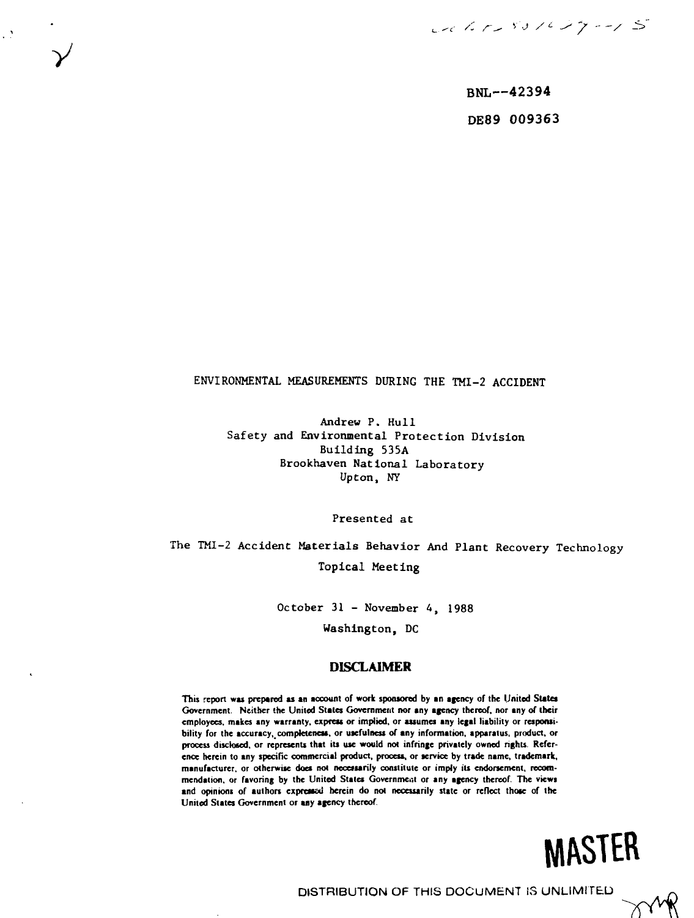Calif 531647-15

**BNL—42394 DE89 009363**

## ENVIRONMENTAL MEASUREMENTS DURING THE TMI-2 ACCIDENT

**y**

 $\mathcal{L}^{\mathcal{M}}$ 

Andrew P. Hull Safety and Environmental Protection Division Building 535A Brookhaven National Laboratory Upton, NY

Presented at

The TMI-2 Accident Materials Behavior And Plant Recovery Technology Topical Meeting

> October 31 - November 4, 1988 Washington, DC

## **DISCLAIMER**

This report was prepared as an account of work sponsored by an agency of the United States **Government. Neither the United States Government nor any agency thereof, nor any of their employees, makes any warranty, express or implied, or assumes any legal liability or responsi**bility for the accuracy, completeness, or usefulness of any information, apparatus, product, or **process disclosed, or represents that its use would not infringe privately owned rights. Reference herein to any specific commercial product, process, or service by trade name, trademark,** manufacturer, or otherwise does not necessarily constitute or imply its endorsement, recom**mendation, or favoring by the United Stales Government or any agency thereof. The views** and opinions of authors expressed herein do not necessarily state or reflect those of the **United States Government or any agency thereof.**

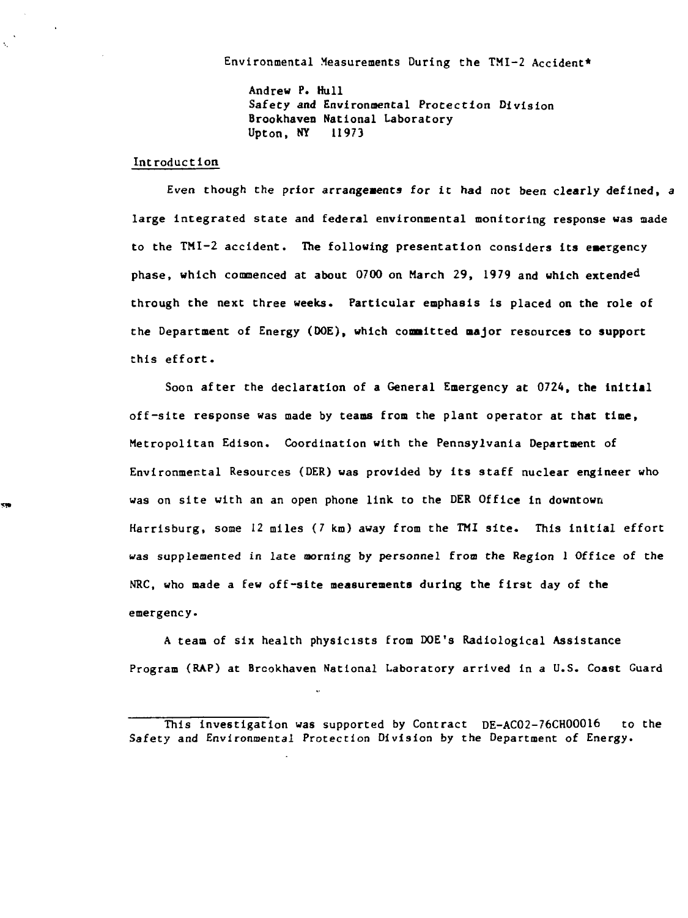**Environmental Measurements During the TMI-2 Accident\***

**Andrew P. Hull Safety and Environmental Protection Division Brookhaven National Laboratory** 11973 **Upton, NY 11973** 

#### **Introduction**

k,

**cm** 

**Even though the prior** *arrangements* **for it had not been clearly defined, a large integrated state and federal environmental monitoring response was made to the TMI-2 accident. The following presentation considers its emergency phase, which commenced at about 0700 on March 29, 1979 and which extended through the next three weeks. Particular emphasis is placed on the role of the Department of Energy (DOE), which committed major resources to support this effort.**

**Soon after the declaration of a General Emergency at 0724, the Initial off-site response was made by teams from the plant operator at that time, Metropolitan Edison. Coordination with the Pennsylvania Department of Environmental Resources (DER) was provided by Its staff nuclear engineer who was on sit e with an an open phone link to the DER Office in downtown Harrisburg, some 12 miles (7 km) away from the TMI site . This initial effort was supplemented in late morning by personnel** *from* **the Region 1 Office of the NRC, who made a few off-site measurements during the first day of the** emergency.

**A team of six health physicists from DOE'9 Radiological Assistance Program (RAP) at Brcokhaven National Laboratory arrived in a U.S. Coast Guard**

**This investigation was supported by Contract DE-AC02-76CH00016 to the Safety and Environmental Protection Division by the Department of Energy.**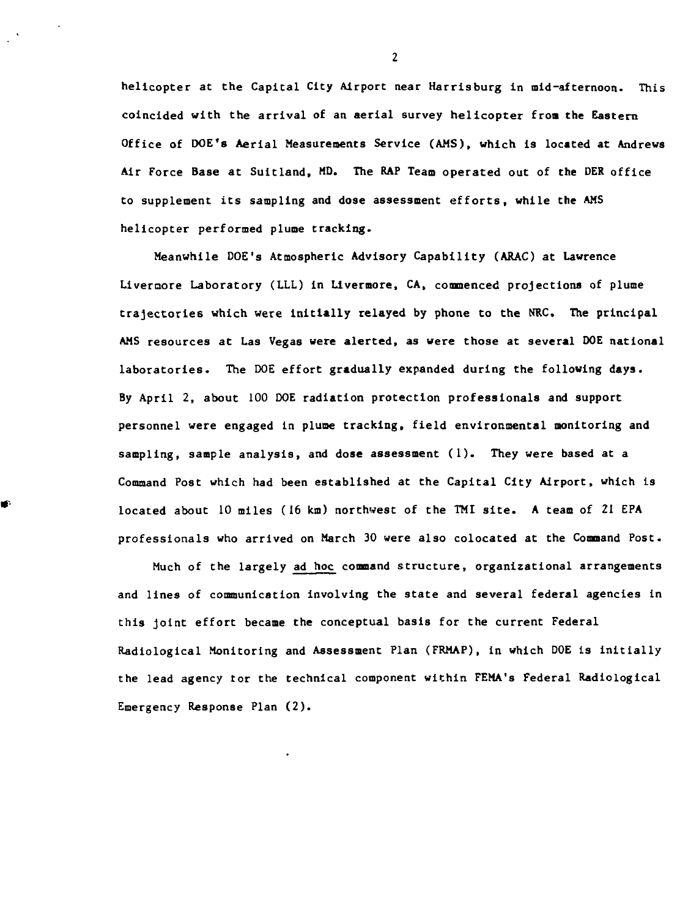**helicopter at the Capital City Airport near Harrisburg in mid-afternoon. This coincided with the arrival of an aerial survey helicopte r from the Eastern Office of DOE's Aerial Measurements Service (AMS), which is located at Andrews Air Force Base at Suitland, MD. The RAP Team operated out of the DER office to supplement its sampling and dose assessment efforts, while the AMS helicopter performed plume tracking.**

**Meanwhile DOE's Atmospheric Advisory Capability (ARAC) at Lawrence Livernore Laboratory (LLL) in Livermore, CA, commenced projections of plume trajectorie s which were initiall y relayed by phone to the NRC. The principal AMS resources at Las Vegas were alerted, as were those at several DOE national laboratories. The DOE effort gradually expanded during the following days. By April 2, about 100 DOE radiation protection professionals and support personnel were engaged in plume tracking, field environmental monitoring and sampling, sample analysis, and dose assessment (1). They were based at a Command Post which had been established at the Capital City Airport, which is located about 10 miles (16 km) northwest of the TMI site . A team of 21 EPA professionals who arrived on March 30 were also colocated at the Command Post.**

÷

**Much of the largely ad hoc command structure, organizational arrangements and line s of communication involving the state and several federal agencies in this joint effort became the conceptual basis for the current Federal Radiological Monitoring and Assessment Plan (FRMAP), in which DOE is initiall y the lead agency tor the technical component within FEMA's Federal Radiological Emergency Response Plan (2).**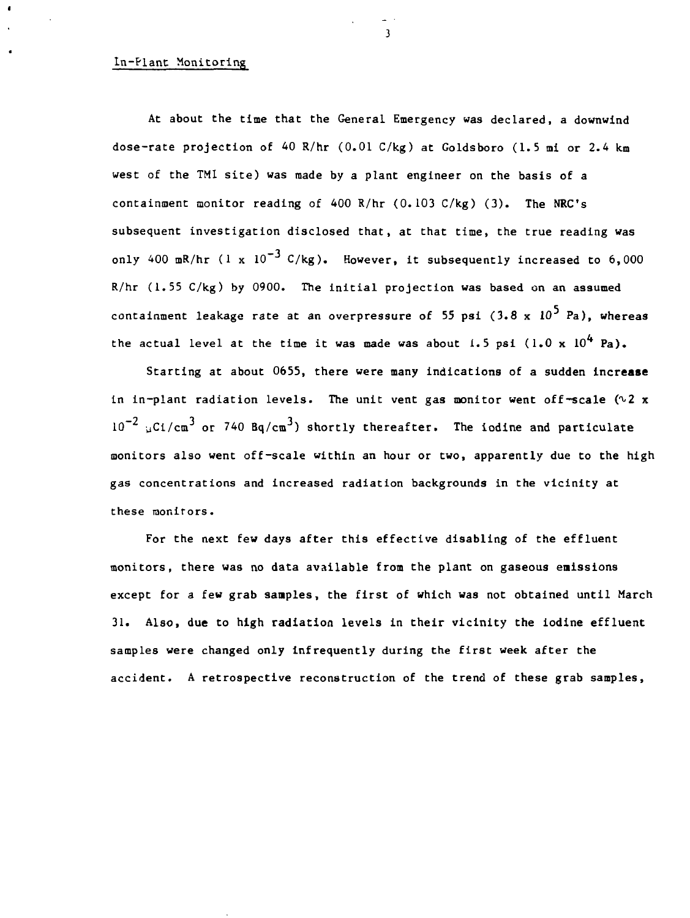### **In-Plant Monitoring**

**At about the time that the General Emergency was declared, a downwind dose-rate projection of 40 R/hr (0.01 C/kg) at Goldsboro (1.5 mi or 2.4 km west of the TM1 site) was made by a plant engineer on the basis of a containment monitor reading of 400 R/hr (0.103 C/kg) (3). The NRC's subsequent investigation disclosed that, at that time, the true reading was only 400 mR/hr (1 x 10"<sup>3</sup> C/kg). However, it subsequently increased to 6,000 R/hr (1.55 C/kg) by 0900. The initial projection was based on an assumed** containment leakage rate at an overpressure of 55 psi  $(3.8 \times 10^5 \text{ Pa})$ . whereas the actual level at the time it was made was about  $i.5$  psi  $(i.0 \times 10^4$  Pa).

**Starting at about 0655, there were many indications of a sudden increase in in-plant radiation levels. The unit vent gas monitor went off-scale (^2 x** 10<sup>-2</sup> uCi/cm<sup>3</sup> or 740 Bq/cm<sup>3</sup>) shortly thereafter. The iodine and particulate **monitors also went off-scale within an hour or two, apparently due to the high gas concentrations and increased radiation backgrounds in the vicinity at these monitors.**

**For the next few days after this effective disabling of the effluent monitors, there was no data available from the plant on gaseous emissions except for a few grab samples, the first of which was not obtained until March 31. Also, due to high radiation levels in their vicinity the iodine effluent samples were changed only infrequently during the first week after the accident. A retrospective reconstruction of the trend of these grab samples,**

 $\overline{\mathbf{3}}$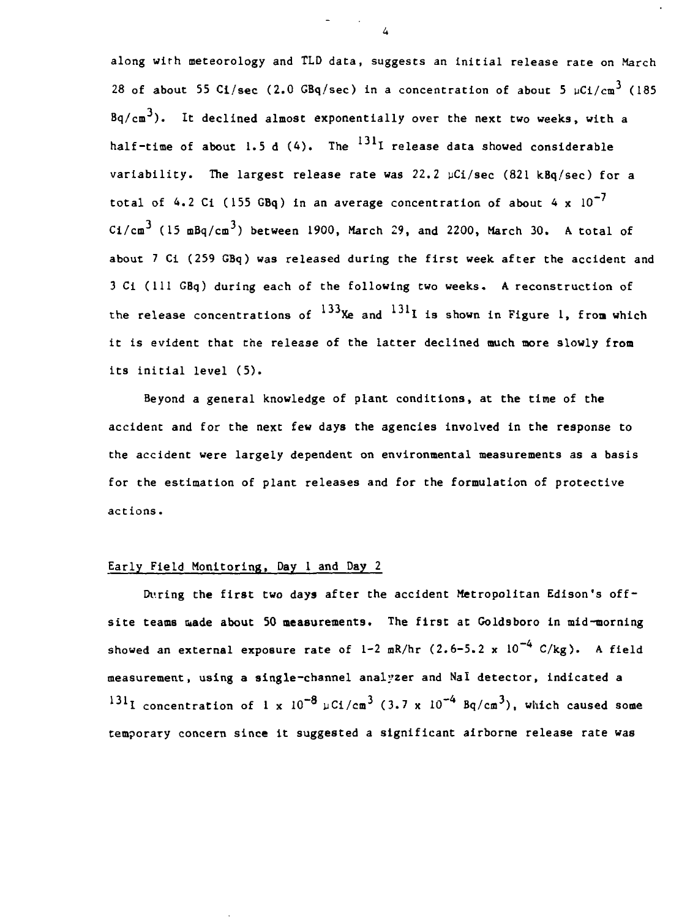**along wirh meteorology and TLD data, suggests an initial release rate on March** 28 of about 55 Ci/sec (2.0 GBq/sec) in a concentration of about 5  $\mu$ Ci/cm<sup>3</sup> (185 **Bq/cm ). It declined almost exponentially over the next two weeks, with a** half-time of about 1.5 d (4). The <sup>131</sup>I release data showed considerable **variability. The largest release rate was 22.2 yCi/sec (821 kBq/sec) for a** total of  $4.2$  Ci (155 GBq) in an average concentration of about  $4 \times 10^{-7}$ **Ci/cm<sup>3</sup> (15 mBq/cm<sup>3</sup>) between 1900, March 29, and 2200, March 30. A total of about 7 Ci (259 GBq) was released during the first week after the accident and 3 Ci (111 GBq) during each of the following two weeks. A reconstruction of** the release concentrations of  $^{133}$ Xe and  $^{131}$ I is shown in Figure 1, from which **it is evident that the release of the latter declined ouch more slowly froa its initial level (5).**

**Beyond a general knowledge of plant conditions, at the time of the accident and for the next few days the agencies involved in the response to the accident were largely dependent on environmental measurements as a basis for the estimation of plant releases and for the formulation of protective actions.**

## **Early Field Monitoring, Day 1 and Day 2**

**During the first two days after the accident Metropolitan Edison's offsite teams made about 50 measurements. The first at Goldsboro in mid-morning** showed an external exposure rate of  $1-2$  mR/hr  $(2.6-5.2 \times 10^{-4} \text{ C/kg})$ . A field **measurement, using a single-channel analyzer and Nal detector, indicated a**  $131$ **l** concentration of 1 x  $10^{-8}$   $\mu$ Ci/cm<sup>3</sup> (3.7 x  $10^{-4}$  Bq/cm<sup>3</sup>), which caused some **temporary concern since it suggested a significant airborne release rate was**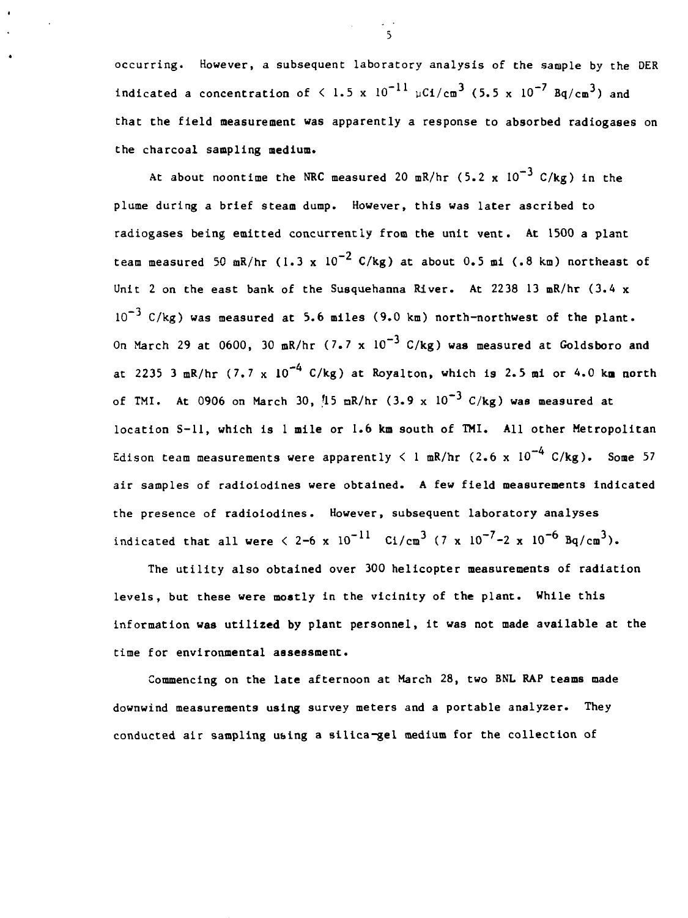**occurring. However, a subsequent laboratory analysis of the sample by the DER indicated a concentration of**  $\leq 1.5 \times 10^{-11} \mu\text{Ci/cm}^3$  **(5.5 x 10<sup>-7</sup> Bq/cm<sup>3</sup>) and that the field measurement was apparently a response to absorbed radiogases on the charcoal sampling medium.**

**At about noontime the NRC measured 20 mR/hr (5.2 x 10~<sup>3</sup> C/kg) in the plume during a brief steam dump. However, this was later ascribed to radiogases being emitted concurrently from the unit vent. At 1500 a plant** team measured 50 mR/hr (1.3 x  $10^{-2}$  C/kg) at about 0.5 mi (.8 km) northeast of **Unit 2 on the east bank of the Susquehanna River. At 2238 13 mR/hr (3.4 x 10~<sup>J</sup> C/kg) was measured at 5.6 miles (9.0 km) north-northwest of the plant.** On March 29 at 0600, 30 mR/hr  $(7.7 \times 10^{-3} \text{ C/kg})$  was measured at Goldsboro and **at 2235 3 mR/hr (7.7 x 10"<sup>4</sup> C/kg) at Royalton, which is 2.5 mi or 4.0 km north of TMI. At 0906 on March 30, ft5 nR/hr (3.9 x 10~<sup>3</sup> C/kg) was measured at location S—11, which is 1 mile or 1.6 km south of TMI. All other Metropolitan** Edison team measurements were apparently  $\leq 1$  mR/hr  $(2.6 \times 10^{-4} \text{ C/kg})$ . Some 57 **air samples of radioiodines were obtained. A few field measurements indicated the presence of radioiodines. However, subsequent laboratory analyses indicated that all were**  $\leq 2-6$  **x**  $10^{-11}$  **Ci/cm<sup>3</sup> (7 x**  $10^{-7}-2$  **x**  $10^{-6}$  **Bq/cm<sup>3</sup>).** 

**The utility also obtained over 300 helicopter measurements of radiation levels, but these were mostly in the vicinity of the plant. While this information was utilized by plant personnel, it was not made available at the time for environmental assessment.**

**Commencing on the late afternoon at March 28, two BNL RAP teams made downwind measurements using survey meters and a portable analyzer. They conducted air sampling using a silica-gel medium for the collection of**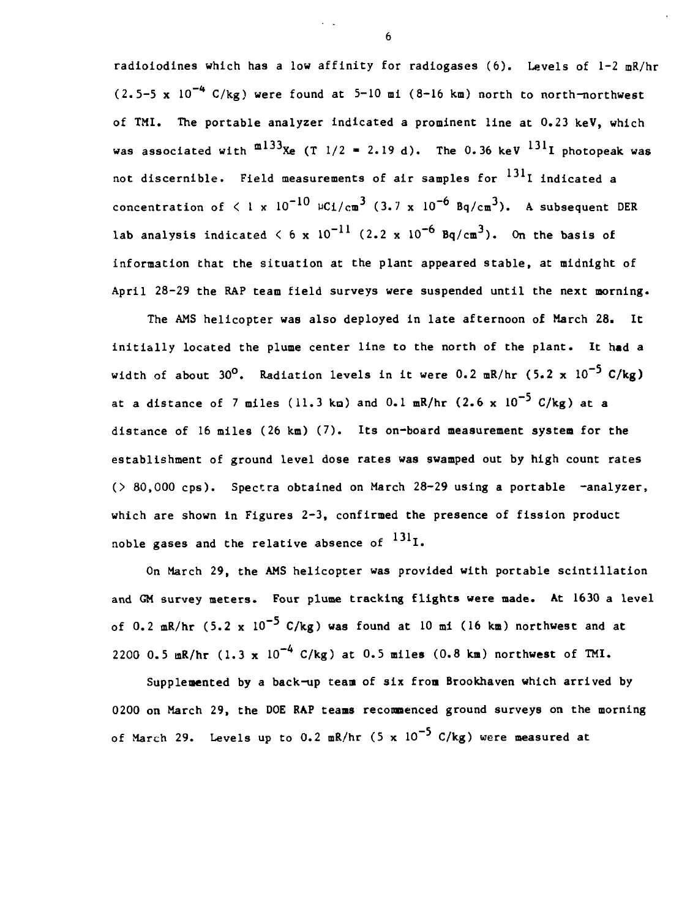**radioiodines which has a low affinity for radiogases (6). Levels of 1-2 mR/hr (2.5-5 x 10~\* C/kg) were found at 5-10 mi (8-16 km) north to north-northwest of TMI. The portable analyzer indicated a prominent line at 0.23 keV, which was associated with ml33 Xe (T 1/2 - 2.19 d). The 0.36 keV <sup>131</sup> I photopeak was** not discernible. Field measurements of air samples for <sup>131</sup>I indicated a **concentration of**  $\leq$  **1 x 10<sup>-10</sup>**  $\mu$ C1/cm<sup>3</sup> (3.7 x 10<sup>-6</sup> Bq/cm<sup>3</sup>). A subsequent DER **lab analysis indicated**  $\langle 6 \times 10^{-11} (2.2 \times 10^{-6} Bq/cm^3)$ **.** On the basis of **information that the situation at the plant appeared stable, at midnight of April 28-29 the RAP team field surveys were suspended until the next morning.**

**The AMS helicopter was also deployed in late afternoon of March 28. It initially located the plume center line to the north of the plant. It had a width of about 30°. Radiation levels in it were 0.2 mR/hr (5.2 x 10~<sup>5</sup> C/kg) at a distance of 7 miles (11.3 ka) and 0.1 mR/hr (2.6 x 10~<sup>5</sup> C/kg) at a distance of 16 miles (26 km) (7). Its on-board measurement system for the establishment of ground level dose rates was swamped out by high count rates (> 80,000 cps). Spectra obtained on March 28-29 using a portable -analyzer, which are shown in Figures 2-3, confirmed the presence of fission product** noble gases and the relative absence of <sup>131</sup>I.

**On March 29, the AMS helicopter was provided with portable scintillation and GM survey meters. Four plume tracking flights were made. At 1630 a level** of 0.2 mR/hr  $(5.2 \times 10^{-5} \text{ C/kg})$  was found at 10 mi (16 km) northwest and at **2200 0.5 mR/hr (1.3 x 10"<sup>A</sup> C/kg) at 0.5 miles (0.8 ka) northwest of TMI.**

**Supplemented by a back-up team of six from Brookhaven which arrived by 0200 on March 29, the DOE RAP teams recommenced ground surveys on the morning of March 29. Levels up to 0.2 mR/hr (5 x 10~<sup>5</sup> C/kg) were measured at**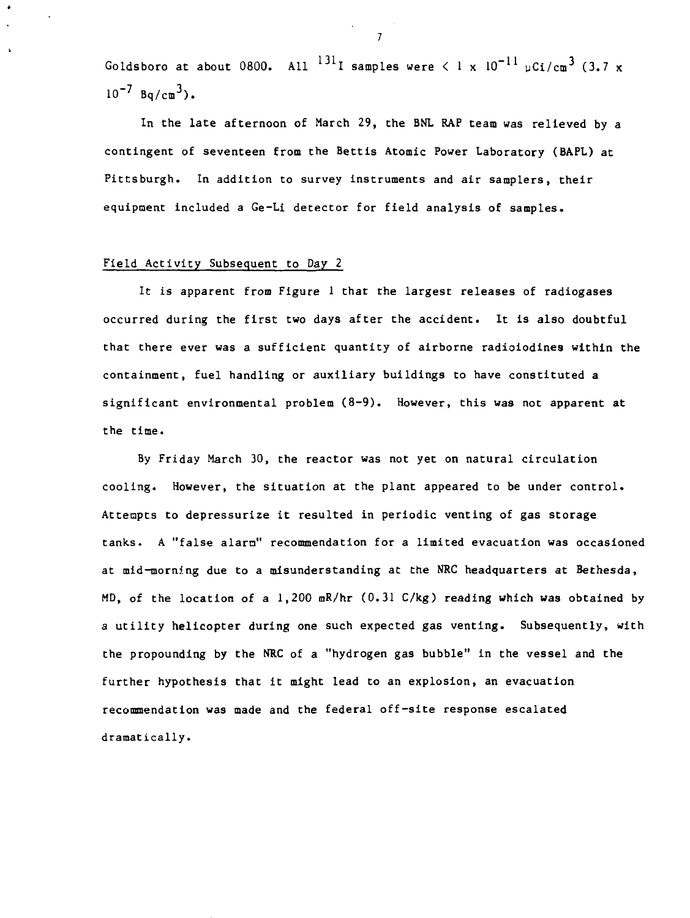**Goldsboro at about 0800. All <sup>131</sup> I samples were < 1 x 10"<sup>11</sup> yCi/cm<sup>3</sup> (3.7 x**  $10^{-7}$  Bq/cm<sup>3</sup>).

**In the late afternoon of March 29, the BNL RAP team was relieved by a contingent of seventeen from the Bettis Atomic Power Laboratory (BAPL) at Pittsburgh. In addition to survey instruments and air samplers, their equipment included a Ge-Li detector for field analysis of samples.**

## **Field Activity Subsequent to Day 2**

**It is apparent from Figure 1 that the largest releases of radiogases occurred during the first two days after the accident. It is also doubtful that there ever was a sufficient quantity of airborne radioiodines within the containment, fuel handling or auxiliary buildings to have constituted a significant environmental problem (8-9). However, this was not apparent at the time.**

**By Friday March 30, the reactor was not yet on natural circulation cooling. However, the situation at the plant appeared to be under control. Attempts to depressurize it resulted in periodic venting of gas storage tanks. A "false alarn" recommendation for a limited evacuation was occasioned at mid-morning due to a misunderstanding at the NRC headquarters at Bethesda, MD, of the location of a 1,200 mR/hr (0.31 C/kg) reading which was obtained by a utility helicopter during one such expected gas venting. Subsequently, with the propounding by the NRC of a "hydrogen gas bubble" in the vessel and the further hypothesis that it might lead to an explosion, an evacuation recommendation was made and the federal off-site response escalated dramatically.**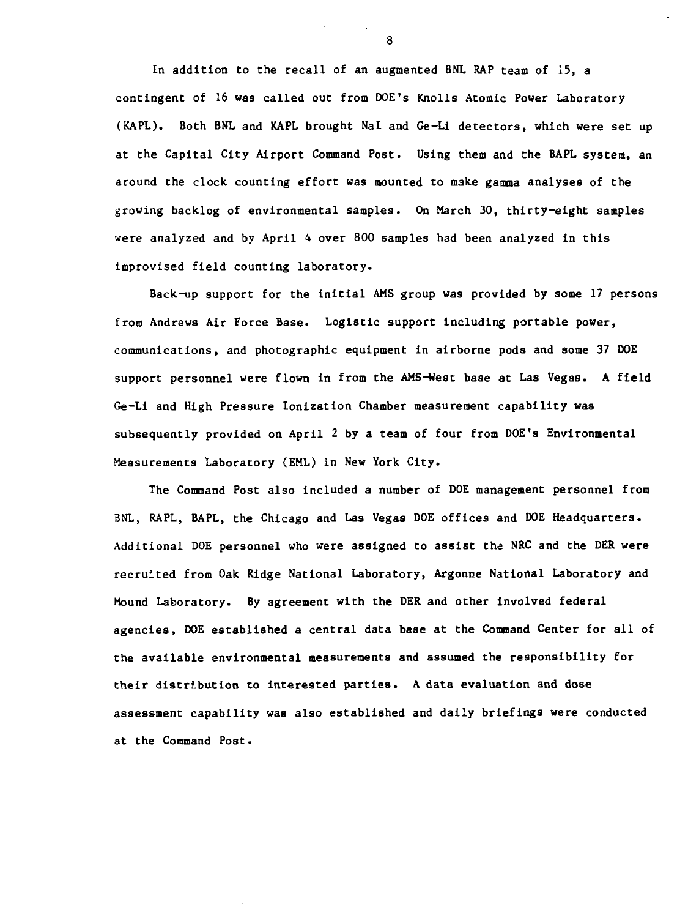**In addition to the recall of an augmented BNL RAP team of 25, a contingent of 16 was called out from DOE's Knolls Atomic Power Laboratory (KAPL). Both BNL and KAPL brought Nal and Ge-Li detectors, which were set up at the Capital City Airport Command Post. Using them and the BAPL system, an around the clock counting effort was mounted to make gamma analyses of the growing backlog of environmental samples. On March 30, thirty-eight samples were analyzed and by April 4 over 800 samples had been analyzed in this improvised field counting laboratory.**

**Back-up support for the initial AMS group was provided by some 17 persons from Andrews Air Force Base. Logistic support including portable power, communications, and photographic equipment in airborne pods and some 37 DOE support personnel were flown in from the AMS-West base at Las Vegas. A field Ge-Li and High Pressure lonization Chamber measurement capability was subsequently provided on April 2 by a team of four from DOE's Environmental Measurements Laboratory (EML) in New York City.**

**The Command Post also included a number of DOE management personnel from BNL, RAPL, BAPL, the Chicago and Las Vegas DOE offices and DOE Headquarters. Additional DOE personnel who were assigned to assist the NRC and the DER were recruited from Oak Ridge National Laboratory, Argonne National Laboratory and Mound Laboratory. By agreement with the DER and other involved federal agencies, DOE established a central data base at the Command Center for all of the available environmental measurements and assumed the responsibility for their distribution to interested parties. A data evaluation and dose assessment capability was also established and daily briefings were conducted at the Command Post.**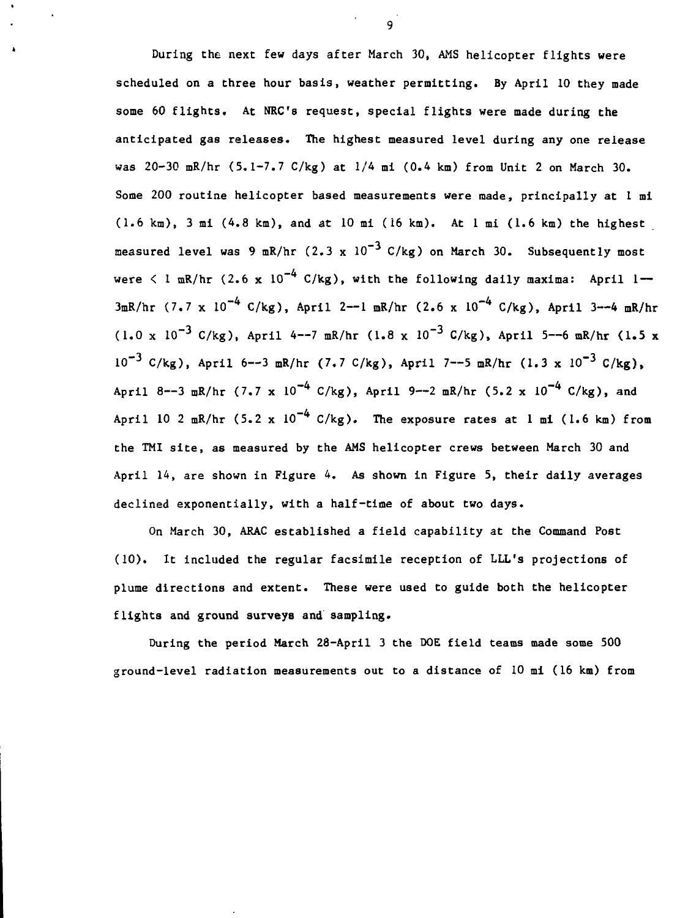**During the next few days after March 30, AMS helicopter flights were scheduled on a three hour basis, weather permitting. By April 10 they made some 60 flights. At NEC's request, special flights were made during the anticipated gas releases. The highest measured level during any one release was 20-30 mR/hr (5.1-7.7 C/kg) at 1/4 mi (0.4 km) from Unit 2 on March 30. Some 200 routine helicopter based measurements were made, principally at 1 mi (1.6 km), 3 mi (4.8 km), and at 10 mi (16 km). At 1 mi (1.6 km) the highest** measured level was 9 mR/hr  $(2.3 \times 10^{-3} \text{ C/kg})$  on March 30. Subsequently most **were < 1 mR/hr (2.6 x 10~<sup>4</sup> C/kg), with the following daily maxima: April 1 — 3mR/hr (7.7 x 10"<sup>4</sup> C/kg), April 2—1 mR/hr (2.6 x 10"<sup>4</sup> C/kg), April 3—4 mR/hr (1.0 x 10~<sup>3</sup> C/kg), April 4—7 mR/hr (1.8 x 10"<sup>3</sup> C/kg), April 5—6 mR/hr (1.5 x 10"<sup>3</sup> C/kg), April 6—3 mR/hr (7.7 C/kg), April 7—5 mR/hr (1.3 x 10"<sup>3</sup> C/kg), April 8—3 mR/hr (7.7 x 10~<sup>4</sup> C/kg), April 9—2 mR/hr (5.2 x 10~<sup>4</sup> C/kg), and April 10 2 mR/hr (5.2 x 10~<sup>4</sup> C/kg). The exposure rates at 1 mi (1.6 km) from the TMI site, as measured by the AMS helicopter crews between March 30 and April 14, are shown in Figure 4. As shown in Figure 5, their daily averages declined exponentially, with a half-time of about two days.**

**On March 30, ARAC established a field capability at the Command Post (10). It included the regular facsimile reception of LLL's projections of plume directions and extent. These were used to guide both the helicopter flights and ground surveys and sampling.**

**During the period March 28-April 3 the DOE field teams made some 500 ground-level radiation measurements out to a distance of 10 mi (16 km) from**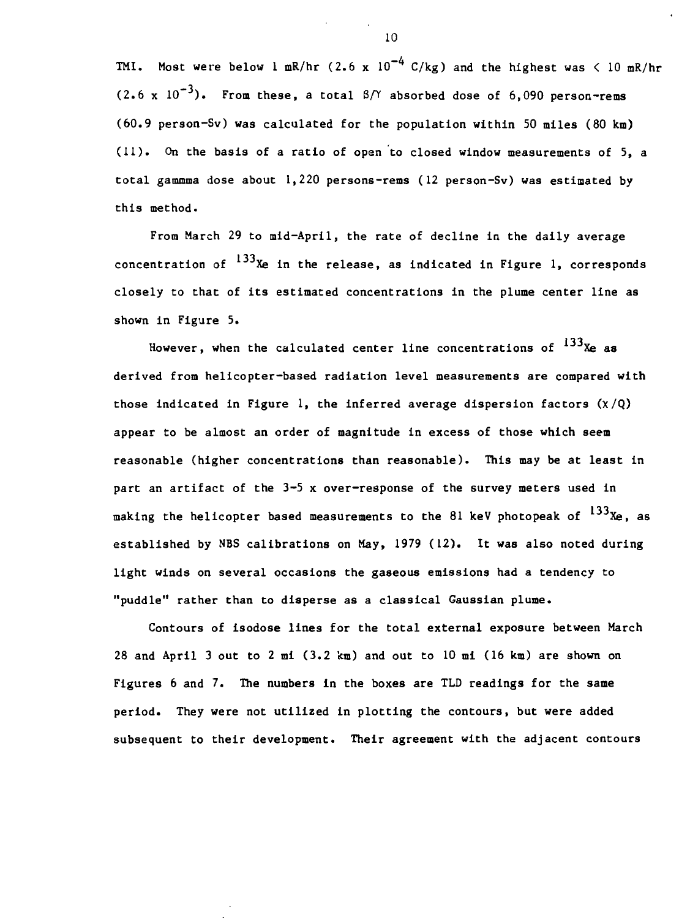**TMI.** Most were below 1 mR/hr  $(2.6 \times 10^{-4} \text{ C/kg})$  and the highest was  $\langle 10 \text{ mR/hr}$  $(2.6 \times 10^{-3})$ . From these, a total  $\beta$ /Y absorbed dose of 6,090 person-rems **(60.9 person-Sv) was calculated for the population within 50 miles (80 km) (11). On the basis of a ratio of open to closed window measurements of 5, a total gammma dose about 1,220 persons-rems (12 person-Sv) was estimated by this method.**

**From March 29 to mid-April, the rate of decline in the daily average** concentration of <sup>133</sup>Xe in the release, as indicated in Figure 1, corresponds **closely to that of its estimated concentrations in the plume center line as shown in Figure 5.**

**However, when the calculated center line concentrations of**  $^{133}$ **Xe as derived from helicopter-based radiation level measurements are compared with those indicated in Figure 1, the inferred average dispersion factors (X/Q) appear to be almost an order of magnitude in excess of those which seem reasonable (higher concentrations than reasonable). This may be at least in part an artifact of the 3-5 x over-response of the survey meters used in** making the helicopter based measurements to the 81 keV photopeak of <sup>133</sup>Xe, as **established by NBS calibrations on May, 1979 (12). It was also noted during light winds on several occasions the gaseous emissions had a tendency to "puddle" rather than to disperse as a classical Gaussian plume.**

**Contours of isodose lines for the total external exposure between March 28 and April 3 out to 2 mi (3.2 km) and out to 10 mi (16 km) are shown on Figures 6 and 7. The numbers in the boxes are TLD readings for the same period. They were not utilized in plotting the contours, but were added subsequent to their development. Their agreement with the adjacent contours**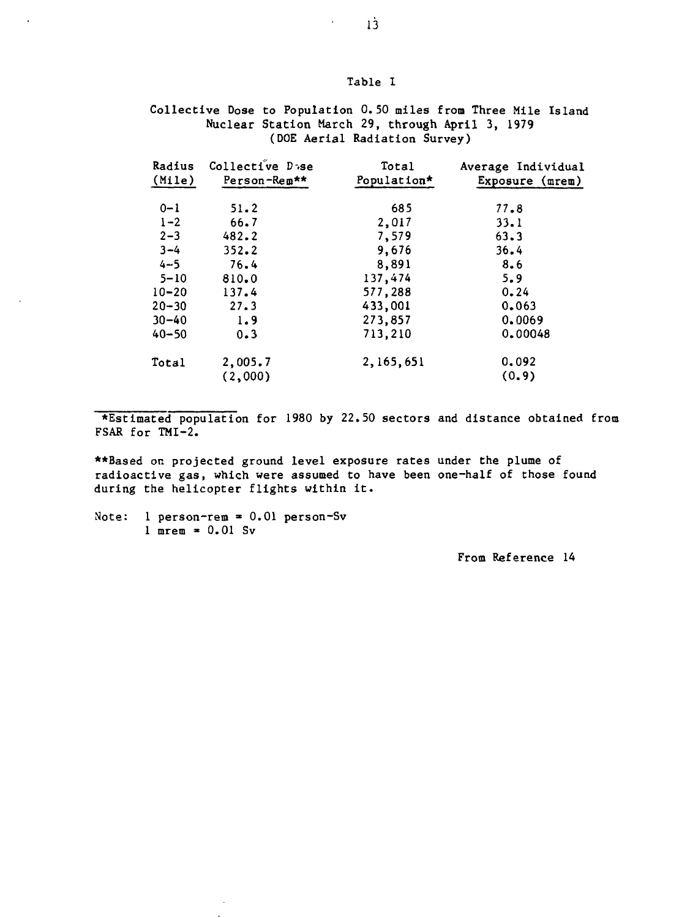## Table I

Collective Dose to Population 0.50 miles from Three Mile Island Nuclear Station March 29, through April 3, 1979 (DOE Aerial Radiation Survey)

| Radius    | Collective D <sub>38</sub> | Total       | Average Individual |
|-----------|----------------------------|-------------|--------------------|
| (Mile)    | Person-Rem**               | Population* | Exposure $(mrem)$  |
| $0 - 1$   | 51.2                       | 685         | 77.8               |
| $1 - 2$   | 66.7                       | 2,017       | 33.1               |
| $2 - 3$   | 482.2                      | 7,579       | 63.3               |
| $3 - 4$   | 352.2                      | 9.676       | 36.4               |
| $4 - 5$   | 76.4                       | 8,891       | 8.6                |
| $5 - 10$  | 810.0                      | 137,474     | 5.9                |
| $10 - 20$ | 137.4                      | 577,288     | 0.24               |
| $20 - 30$ | 27.3                       | 433,001     | 0.063              |
| $30 - 40$ | 1.9                        | 273,857     | 0.0069             |
| $40 - 50$ | 0.3                        | 713,210     | 0.00048            |
| Total     | 2,005.7                    | 2,165,651   | 0.092              |
|           | (2,000)                    |             | (0.9)              |

•Estimated population for 1980 by 22.50 sectors and distance obtained from FSAR for TMI-2.

\*\*Based on projected ground level exposure rates under the plume of radioactive gas, which were assumed to have been one-half of those found during the helicopter flights within it.

Note:  $l$  person-rem = 0.01 person-Sv  $1$  mrem  $= 0.01$  Sv

 $\tilde{\phantom{a}}$ 

From Reference 14

 $\mathbf{v} = \mathbf{v}$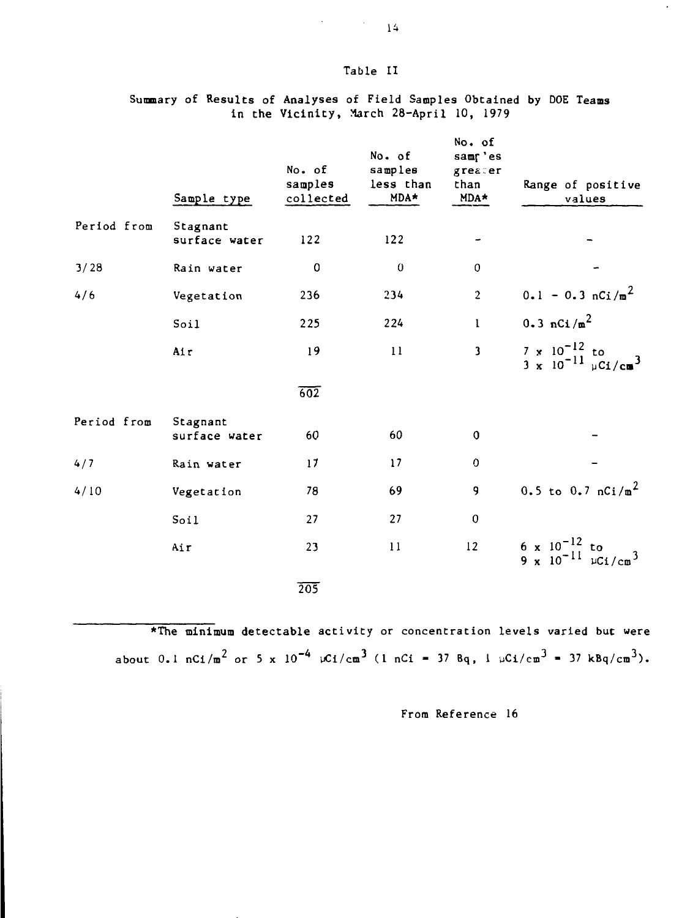### **Table II**

|             | Sample type               | No. of<br>samples<br>collected | No. of<br>samples<br>less than<br>MDA* | No. of<br>samp'es<br>greater<br>than<br>$MDA*$ | Range of positive<br>values                                                                      |
|-------------|---------------------------|--------------------------------|----------------------------------------|------------------------------------------------|--------------------------------------------------------------------------------------------------|
| Period from | Stagnant<br>surface water | 122                            | 122                                    |                                                |                                                                                                  |
| 3/28        | Rain water                | $\mathbf 0$                    | $\mathbf 0$                            | $\mathbf 0$                                    |                                                                                                  |
|             |                           |                                |                                        |                                                |                                                                                                  |
| 4/6         | Vegetation                | 236                            | 234                                    | $\overline{c}$                                 | $0.1 - 0.3 nCi/m2$                                                                               |
|             | Soil                      | 225                            | 224                                    | $\mathbf{I}$                                   | $0.3 \text{ nCi/m}^2$                                                                            |
|             | Air                       | 19                             | 11                                     | $\overline{\mathbf{3}}$                        | $\frac{7 \times 10^{-12}}{3 \times 10^{-11}}$ to $\frac{10^{-12} \text{ kg}}{10^{11} \text{ g}}$ |
|             |                           | $\overline{602}$               |                                        |                                                |                                                                                                  |
| Period from | Stagnant<br>surface water | 60                             | 60                                     | 0                                              |                                                                                                  |
| 4/7         | Rain water                | 17                             | 17                                     | 0                                              |                                                                                                  |
| 4/10        | Vegetation                | 78                             | 69                                     | 9                                              | 0.5 to 0.7 $nCi/m^2$                                                                             |
|             | Soil                      | 27                             | 27                                     | $\mathbf 0$                                    |                                                                                                  |
|             | Air                       | 23                             | 11                                     | 12                                             | 6 x $10^{-12}$ to<br>9 x $10^{-11}$ $\mu$ Ci/cm <sup>3</sup>                                     |
|             |                           | 205                            |                                        |                                                |                                                                                                  |

## **Summary of Results of Analyses of Field Samples Obtained by DOE Teams in the Vicinity, March 28-April 10, 1979**

**\*The minimum detectable activity or concentration levels varied but were**  $a$ bout 0.1 nCi/m<sup>2</sup> or 5 x 10<sup>-4</sup>  $\mu$ Ci/cm<sup>3</sup> (1 nCi = 37 Bq, 1  $\mu$ Ci/cm<sup>3</sup> = 37 kBq/cm<sup>3</sup>).

**From Reference 16**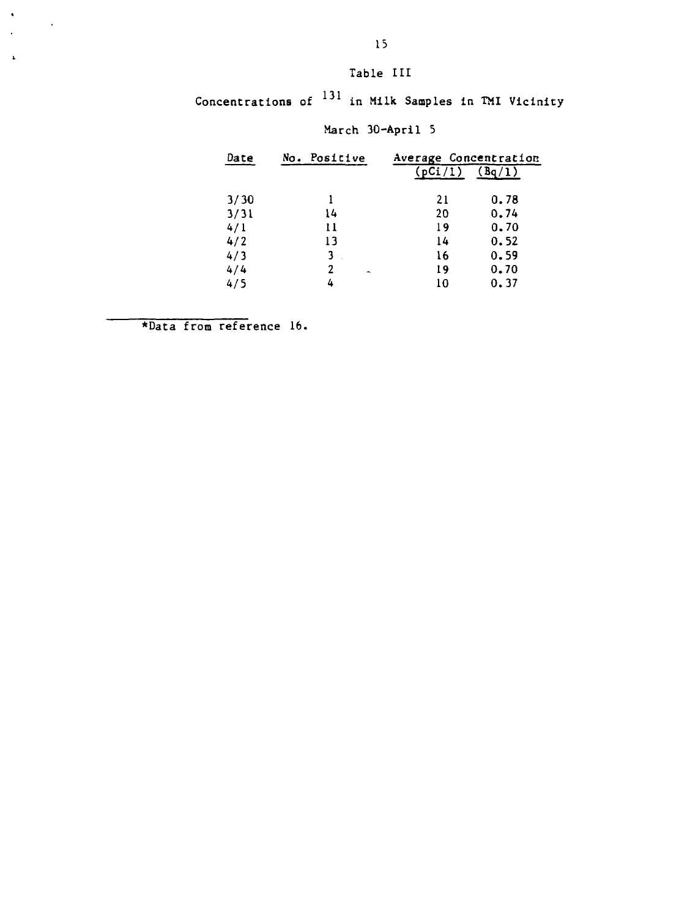# **Table III**

**Concentracions of <sup>13</sup> <sup>1</sup> in Milk. Samples in TMI Vicinity**

| Date | No. Positive                  | Average Concentration |        |  |
|------|-------------------------------|-----------------------|--------|--|
|      |                               | (pCi/1)               | (Bq/1) |  |
| 3/30 |                               | 21                    | 0.78   |  |
| 3/31 | 14                            | 20                    | 0.74   |  |
| 4/1  | 11                            | 19                    | 0.70   |  |
| 4/2  | 13                            | 14                    | 0.52   |  |
| 4/3  | 3                             | 16                    | 0.59   |  |
| 4/4  | 2<br>$\overline{\phantom{a}}$ | 19                    | 0.70   |  |
| 4/5  | 4                             | 10                    | 0.37   |  |

# **March 30-April 5**

**\*Daca from reference 16.**

 $\bullet$ 

 $\overline{a}$  $\Delta$   $\sim 1$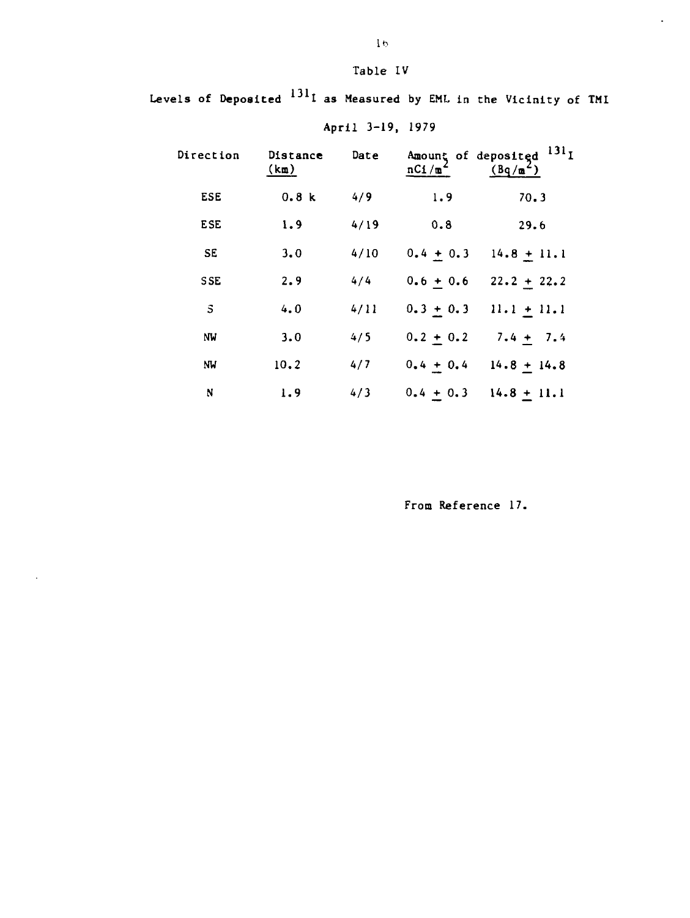Table IV

Levels of Deposited  $^{131}$ I as Measured by EML in the Vicinity of TMI

| Direction    | Distance<br>(km) | Date | Amount of deposited<br>nCI/m | 131 <sub>T</sub><br>$(Bq/\mathfrak{m}^2)$ |
|--------------|------------------|------|------------------------------|-------------------------------------------|
| <b>ESE</b>   | 0.8k             | 4/9  | 1.9                          | 70.3                                      |
| <b>ESE</b>   | 1.9              | 4/19 | 0.8                          | 29.6                                      |
| <b>SE</b>    | 3,0              | 4/10 | $0.4 + 0.3$                  | $14.8 + 11.1$                             |
| <b>SSE</b>   | 2.9              | 4/4  | $0.6 + 0.6$                  | $22.2 + 22.2$                             |
| $\mathbf{s}$ | 4.0              | 4/11 | $0.3 + 0.3$                  | $11.1 + 11.1$                             |
| ΝW           | 3.0              | 4/5  | $0.2 + 0.2$                  | $7.4 + 7.4$                               |
| NW           | 10.2             | 4/7  | $0.4 + 0.4$                  | $14.8 + 14.8$                             |
| N            | 1.9              | 4/3  | $0.4 + 0.3$                  | $14.8 + 11.1$                             |

 $\ddot{\phantom{a}}$ 

April 3-19, 1979

From Reference 17.

 $\Box$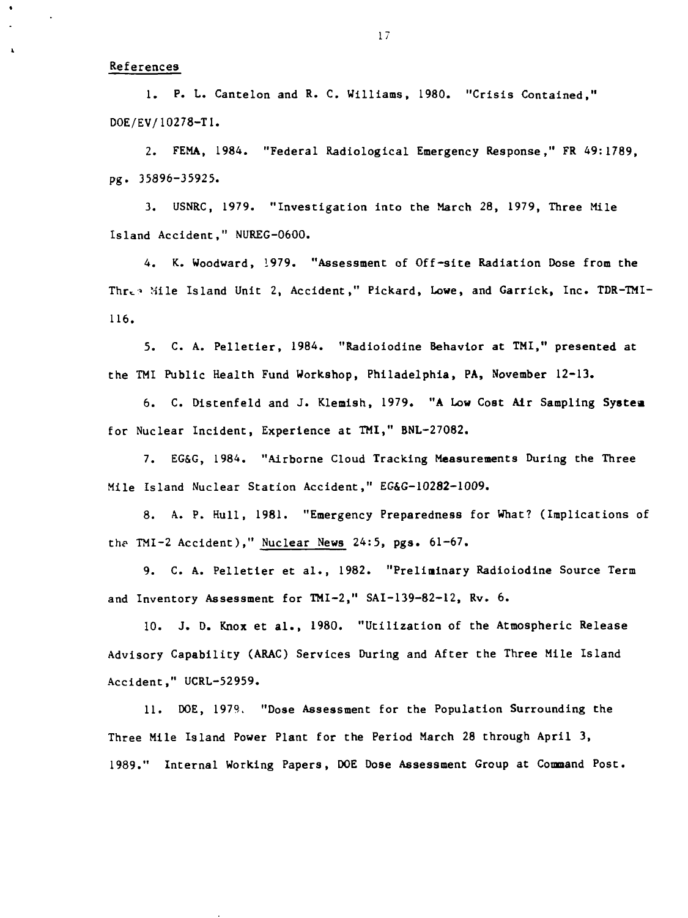#### **References**

**1. P. 1. Cantelon and R. C. Williams, 1980. "Crisis Contained," DOE/EV/10278-T1.**

**2. FEMA, 1984. "Federal Radiological Emergency Response," FR 49:1789, pg. 35896-35925.**

**3. USNRC, 1979. "Investigation into the March 28, 1979, Three Mile Island Accident," NUREG-0600.**

**4. K. Woodward, 1979. "Assessment of Off-site Radiation Dose from the** Three Mile Island Unit 2, Accident," Pickard, Lowe, and Garrick, Inc. TDR-TMI-**116.**

**5. C. A. Pelletier, 1984. "Radioiodine Behavior at TMI," presented at the TMI Public Health Fund Workshop, Philadelphia, PA, November 12-13.**

**6. C. Distenfeld and J. Klemish, 1979. "A Low Cost Air Sampling Systea for Nuclear Incident, Experience at TMI," BNL-27082.**

**7. EG&G, 1984. "Airborne Cloud Tracking Measurements During the Three Mile Island Nuclear Station Accident," EG&G-10282-1009.**

**8. A. P. Hull, 1981. "Emergency Preparedness for What? (Implications of the TMI-2 Accident)," Nuclear News 24:5, pgs. 61-67.**

**9. C. A. Pelletier et al., 1982. "Preliminary Radioiodine Source Term and Inventory Assessment for TMI-2," SAI-139-82-12, Rv. 6.**

**10. J. D. Knox et al., 1980. "Utilization of the Atmospheric Release Advisory Capability (ARAC) Services During and After the Three Mile Island Accident," UCRL-52959.**

**11. DOE, 197?,. "Dose Assessment for the Population Surrounding the Three Mile Island Power Plant for the Period March 28 through April 3, 1989." Internal Working Papers, DOE Dose Assessment Group at Command Post.**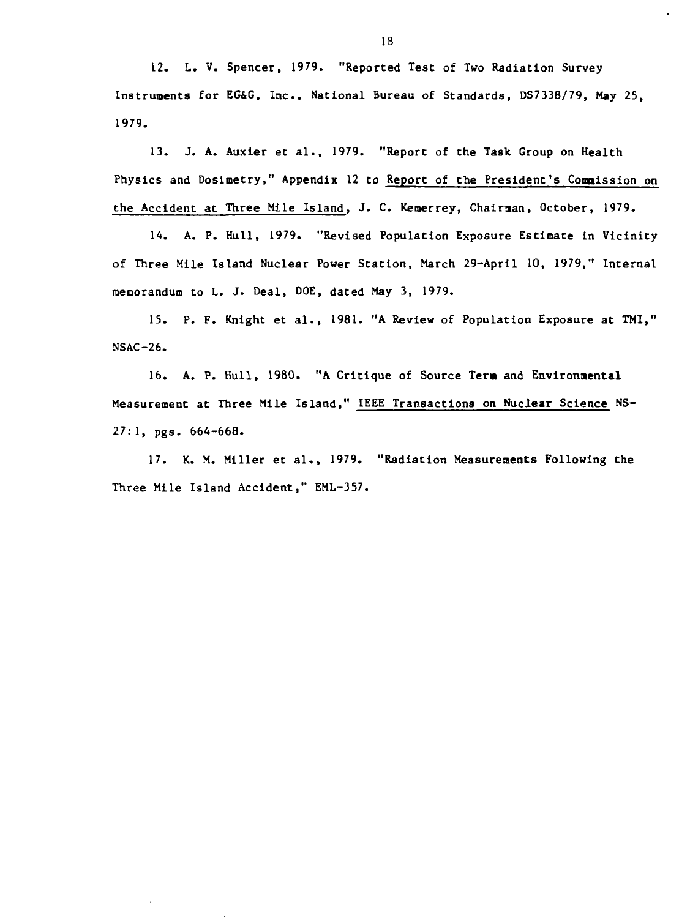**12. L. V. Spencer, 1979. "Reported Test of Two Radiation Survey Instruments for EG&G, Inc., National Bureau of Standards, DS7338/79, May 25, 1979.**

**13. J. A. Auxler et al., 1979. "Report of the Task Group on Health Physics and Doslmetry," Appendix 12 to Report of the President's Commission on the Accident at Three Mile Island, J. C. Kemerrey, Chairman, October, 1979.**

**14. A. P. Hull, 1979. "Revised Population Exposure Estimate in Vicinity of Three Mile Island Nuclear Power Station, March 29-April 10, 1979," Internal memorandum to L. J. Deal, DOE, dated May 3, 1979.**

**15. P. F. Knight et al., 1981. "A Review of Population Exposure at TMI," NSAC-26.**

**16. A. P. Hull, 1980. "A Critique of Source Term and Environmental Measurement at Three Mile Island," IEEE Transactions on Nuclear Science NS-27:1, pgs. 664-668.**

**17. K. M. Miller et al., 1979. "Radiation Measurements Following the Three Mile Island Accident," EML-357.**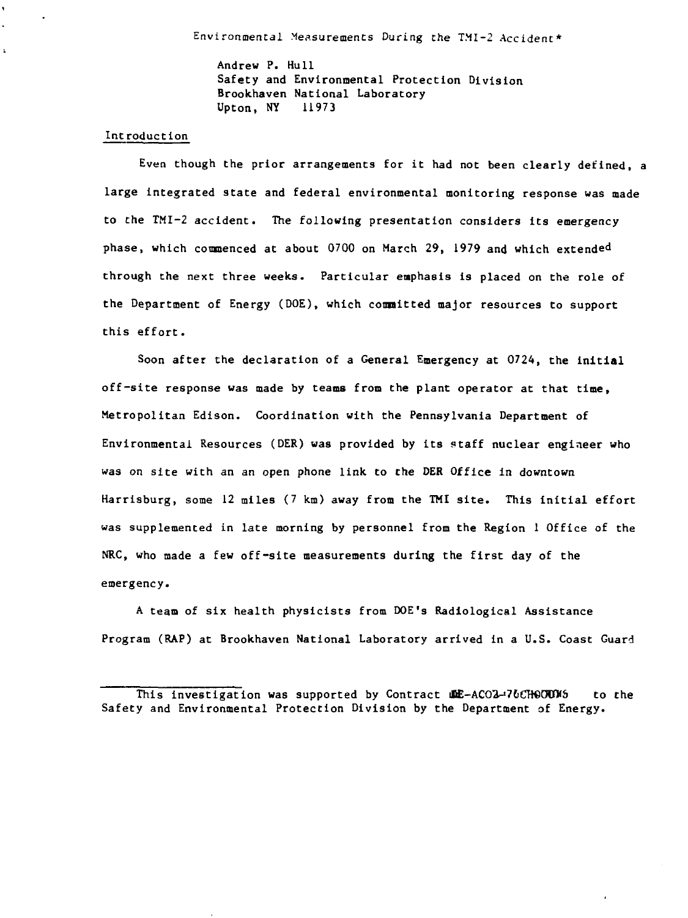Andrew P. Hull **Safety and Environmental Protection Division Brookhaven National Laboratory** Upton, NY 11973

#### Introduction **Introduction**

 $\ddot{\phantom{a}}$ 

Even though the prior arrangements for it had not been clearly defined, a **Even though the prior arrangements for it had not been clearly defined, a large integrated state and federal environmental monitoring response was made to the TMI-2 accident. The following presentation considers its emergency through the next three weeks. Particular emphasis is placed on the role of the Department of Energy (DOE), which committed major resources to support** this effort.

**Soon after the declaration of a General Emergency at 0724, the initial off-site response was made by teams from the plant operator at that time. Metropolitan Edison. Coordination with the Pennsylvania Department of Environmental Resources (DER) was provided by its staff nuclear engineer who was on site with an an open phone link to the DER Office in downtown Harrisburg, some 12 miles (7 km) away from the TMI site. This initial effort was supplemented in late morning by personnel from the Region 1 Office of the NRC, who made a few off-site measurements during the first day of the emergency.**

**A team of six health physicists from DOE's Radiological Assistance Program (RAP) at Brookhaven National Laboratory arrived in a U.S. Coast Guard**

**This investigation was supported by Contract if ACO2-76CHOOUNS** to the **Safety and Environmental Protection Division by the Department of Energy.**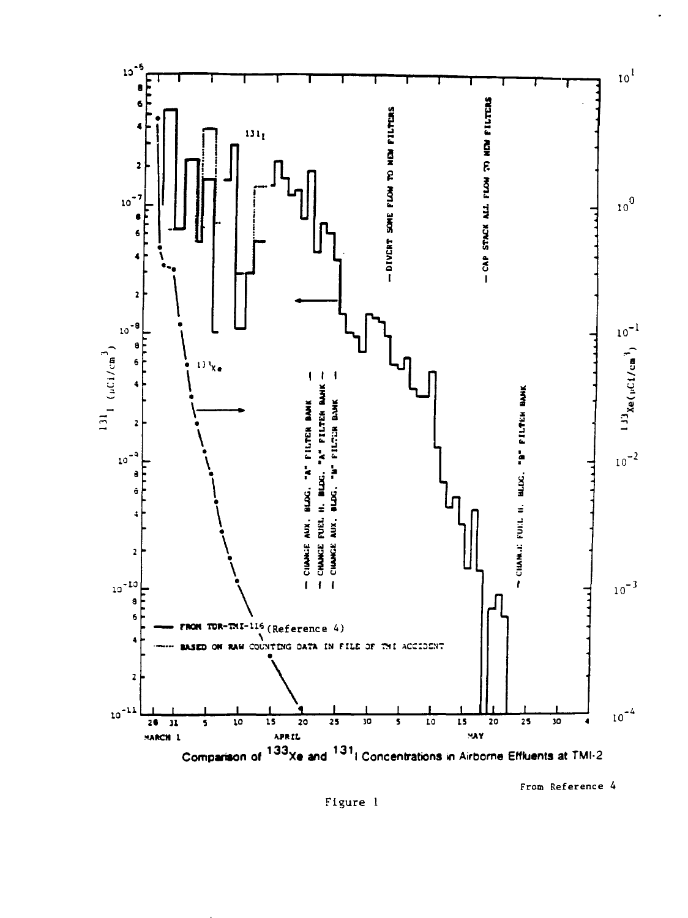

From Reference 4

Figure 1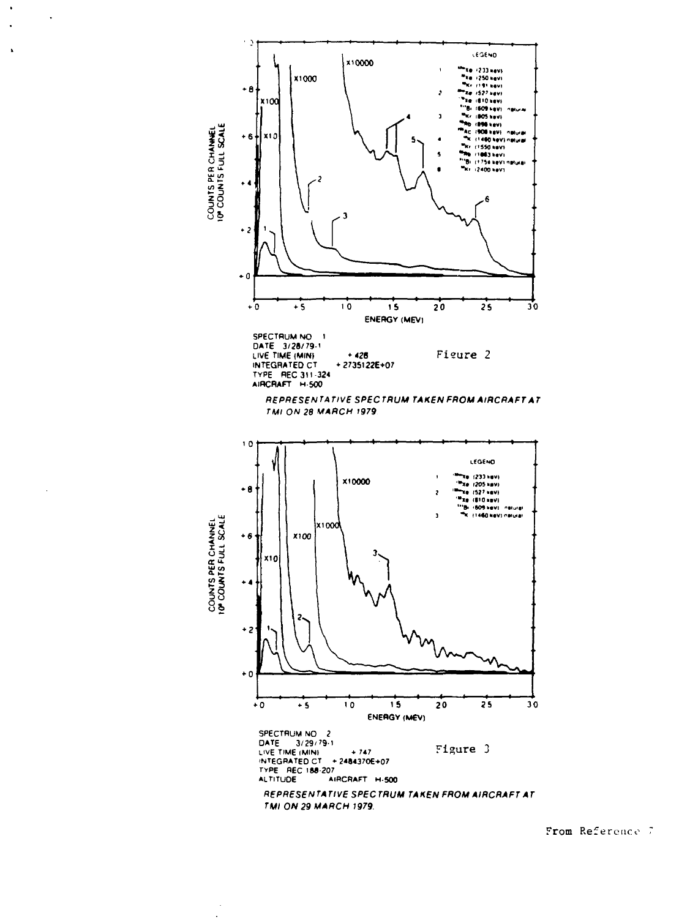

 $\overline{\phantom{a}}$ 

 $\ddot{\phantom{0}}$ 

 $\ddot{\phantom{a}}$ 

From Reference 7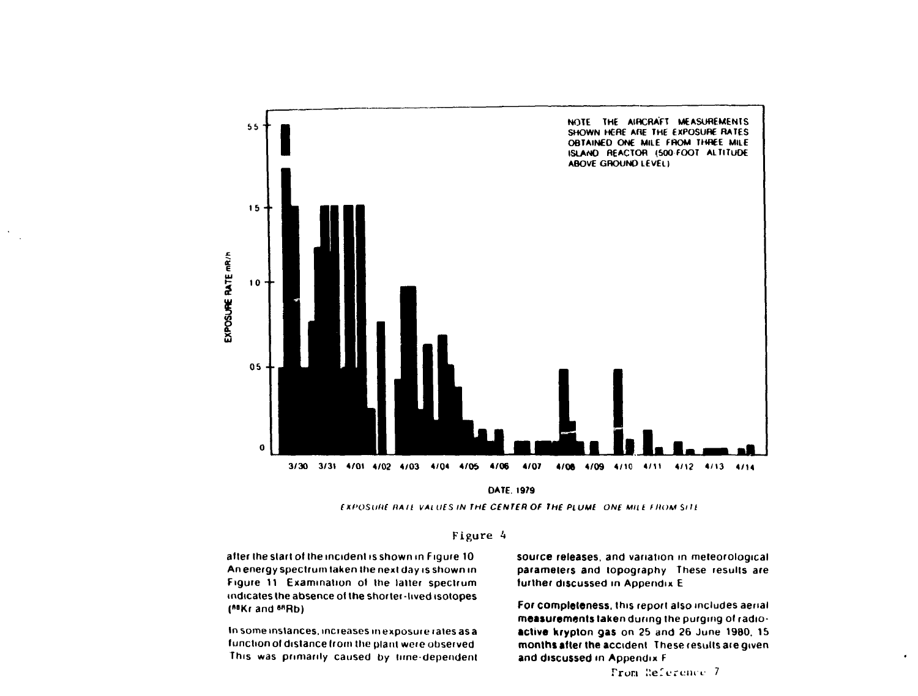



EXfOStillt HA It VALUES IN **THE CENTER OF THE PLUME** ONE Milt F HUM Silt



after the start of the incident is shown in Figure 10 An energy spectrum taken the next day is shown in Figure 11 Examination of the latter spectrum indicates the absence of the shorter -lived isotopes (<sup>88</sup>Kr and <sup>88</sup>Rb)

 $\mathcal{N}$ 

In some instances, increases in exposure rales as a function ol distance from the plant were observed This was primarily caused by lime-dependent

source releases, and variation in meteorological parameters **and** topography These results are further discussed in Appendix E

**For completeness,** this report also includes aerial **measurements taken** during the purging of **radioactive krypton gas** on 25 and 26 June 1980. 15 **months after the** accident These results are given **and** discussed **in** Appendix F

From Reference 7

 $\bullet$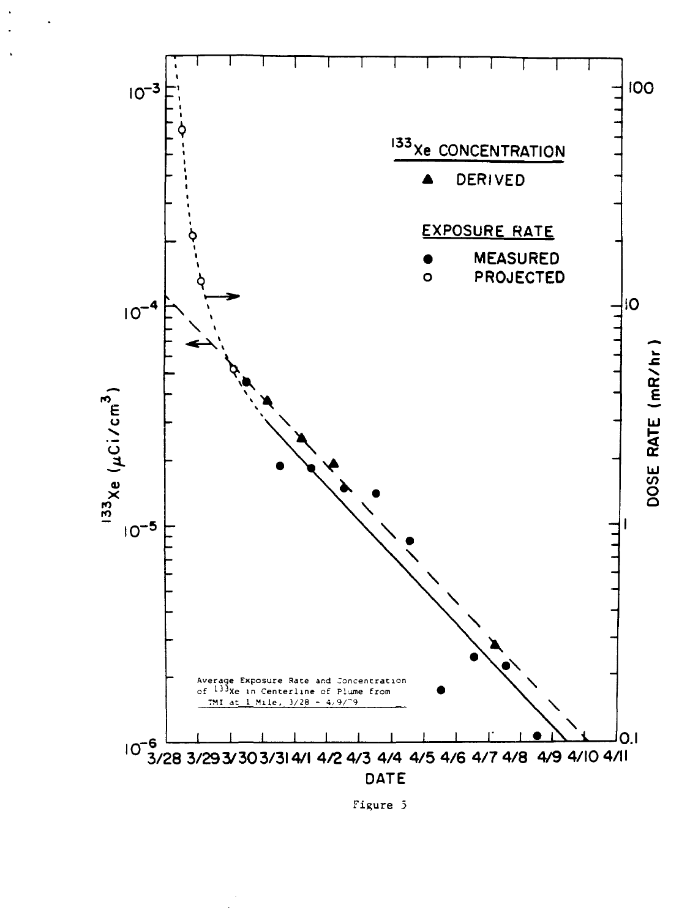

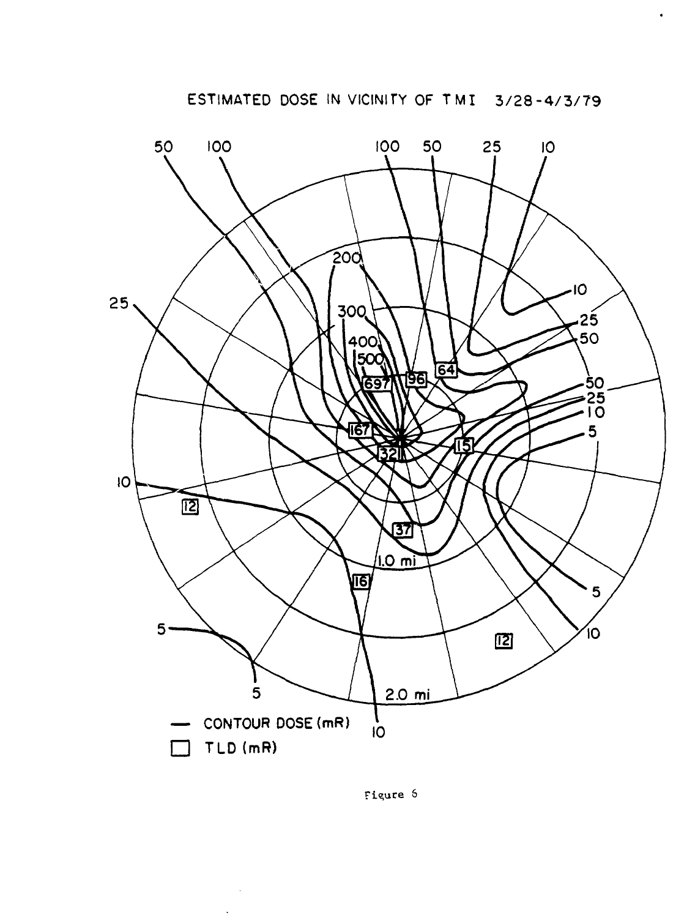

Figure 6

 $\bar{z}$  $\overline{a}$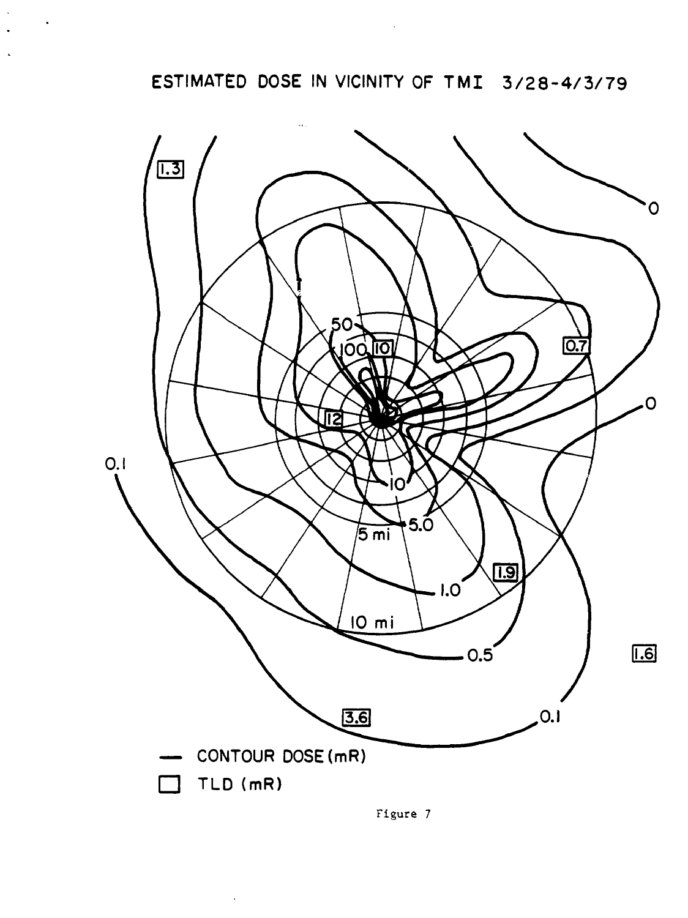**ESTIMATED DOSE IN VICINITY OF TMI 3/28-4/3/79** 



Figure 7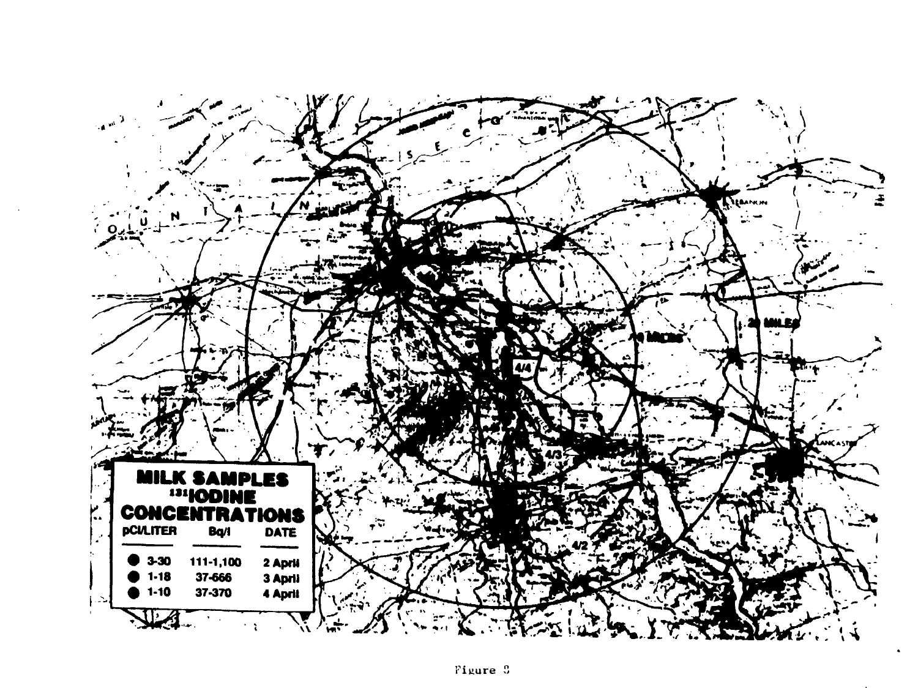